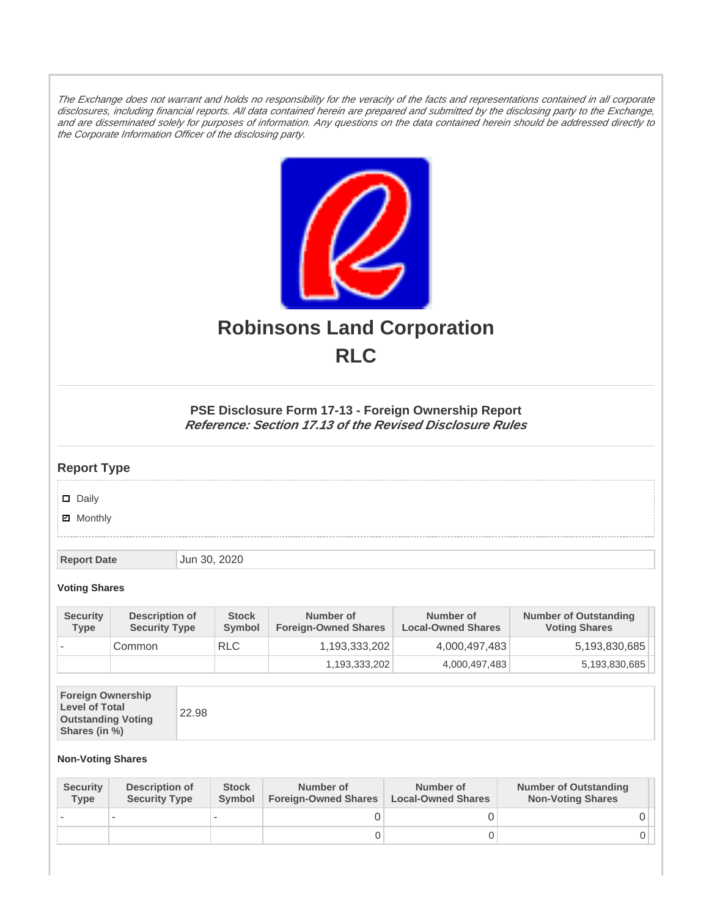The Exchange does not warrant and holds no responsibility for the veracity of the facts and representations contained in all corporate disclosures, including financial reports. All data contained herein are prepared and submitted by the disclosing party to the Exchange, and are disseminated solely for purposes of information. Any questions on the data contained herein should be addressed directly to the Corporate Information Officer of the disclosing party.



# **Robinsons Land Corporation RLC**

## **PSE Disclosure Form 17-13 - Foreign Ownership Report Reference: Section 17.13 of the Revised Disclosure Rules**

## **Report Type**

Daily

**Ø** Monthly

**Report Date Jun 30, 2020** 

#### **Voting Shares**

| <b>Security</b><br>Type | <b>Description of</b><br><b>Security Type</b> | <b>Stock</b><br>Symbol | Number of<br><b>Foreign-Owned Shares</b> | Number of<br><b>Local-Owned Shares</b> | <b>Number of Outstanding</b><br><b>Voting Shares</b> |
|-------------------------|-----------------------------------------------|------------------------|------------------------------------------|----------------------------------------|------------------------------------------------------|
|                         | Common                                        | <b>RLC</b>             | 1,193,333,202                            | 4,000,497,483                          | 5,193,830,685                                        |
|                         |                                               |                        | 1,193,333,202                            | 4,000,497,483                          | 5,193,830,685                                        |

| <b>Foreign Ownership</b><br><b>Level of Total</b><br><b>Outstanding Voting</b><br>Shares (in %) |
|-------------------------------------------------------------------------------------------------|
|-------------------------------------------------------------------------------------------------|

### **Non-Voting Shares**

| <b>Security</b><br><b>Type</b> | Description of<br><b>Security Type</b> | <b>Stock</b><br>Symbol | Number of<br><b>Foreign-Owned Shares</b> | Number of<br><b>Local-Owned Shares</b> | <b>Number of Outstanding</b><br><b>Non-Voting Shares</b> |
|--------------------------------|----------------------------------------|------------------------|------------------------------------------|----------------------------------------|----------------------------------------------------------|
|                                |                                        |                        |                                          |                                        |                                                          |
|                                |                                        |                        | O                                        |                                        |                                                          |